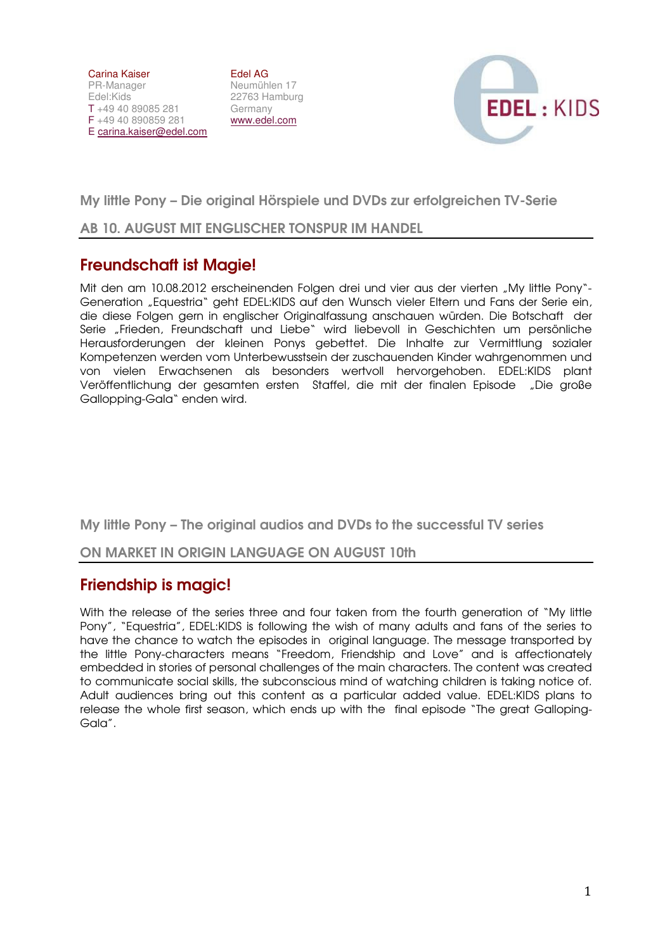Carina Kaiser PR-Manager Edel:Kids T +49 40 89085 281 F +49 40 890859 281 E carina.kaiser@edel.com

Edel AG Neumühlen 17 22763 Hamburg Germany www.edel.com



My little Pony – Die original Hörspiele und DVDs zur erfolgreichen TV-Serie

### AB 10. AUGUST MIT ENGLISCHER TONSPUR IM HANDEL

# Freundschaft ist Magie!

Mit den am 10.08.2012 erscheinenden Folgen drei und vier aus der vierten "My little Pony"-Generation "Equestria" geht EDEL:KIDS auf den Wunsch vieler Eltern und Fans der Serie ein, die diese Folgen gern in englischer Originalfassung anschauen würden. Die Botschaft der Serie "Frieden, Freundschaft und Liebe" wird liebevoll in Geschichten um persönliche Herausforderungen der kleinen Ponys gebettet. Die Inhalte zur Vermittlung sozialer Kompetenzen werden vom Unterbewusstsein der zuschauenden Kinder wahrgenommen und von vielen Erwachsenen als besonders wertvoll hervorgehoben. EDEL:KIDS plant Veröffentlichung der gesamten ersten Staffel, die mit der finalen Episode "Die große Gallopping-Gala" enden wird.

My little Pony – The original audios and DVDs to the successful TV series

### ON MARKET IN ORIGIN LANGUAGE ON AUGUST 10th

# Friendship is magic!

With the release of the series three and four taken from the fourth generation of "My little Pony", "Equestria", EDEL:KIDS is following the wish of many adults and fans of the series to have the chance to watch the episodes in original language. The message transported by the little Pony-characters means "Freedom, Friendship and Love" and is affectionately embedded in stories of personal challenges of the main characters. The content was created to communicate social skills, the subconscious mind of watching children is taking notice of. Adult audiences bring out this content as a particular added value. EDEL:KIDS plans to release the whole first season, which ends up with the final episode "The great Galloping-Gala".